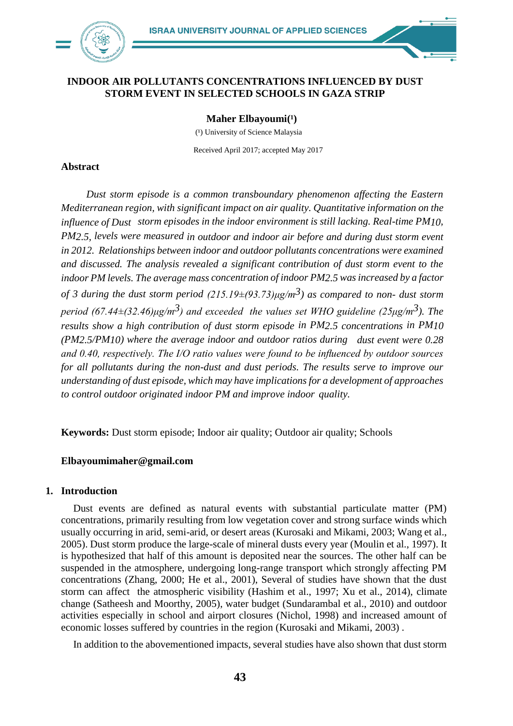

## **INDOOR AIR POLLUTANTS CONCENTRATIONS INFLUENCED BY DUST STORM EVENT IN SELECTED SCHOOLS IN GAZA STRIP**

**Maher Elbayoumi**<sup>(1</sup>)

(1) University of Science Malaysia

Received April 2017; accepted May 2017

### **Abstract**

*Dust storm episode is a common transboundary phenomenon affecting the Eastern Mediterranean region, with significant impact on air quality. Quantitative information on the influence of Dust storm episodes in the indoor environment is still lacking. Real-time PM10, PM2.5, levels were measured in outdoor and indoor air before and during dust storm event in 2012. Relationships between indoor and outdoor pollutants concentrations were examined and discussed. The analysis revealed a significant contribution of dust storm event to the indoor PM levels. The average mass concentration of indoor PM2.5 was increased by a factor of 3 during the dust storm period (215.19±(93.73)μg/m3) as compared to non- dust storm period (67.44±(32.46)μg/m<sup>3</sup>) and exceeded the values set WHO guideline (25μg/m<sup>3</sup>). The results show a high contribution of dust storm episode in PM2.5 concentrations in PM10 (PM2.5/PM10) where the average indoor and outdoor ratios during dust event were 0.28 and 0.40, respectively. The I/O ratio values were found to be influenced by outdoor sources for all pollutants during the non-dust and dust periods. The results serve to improve our understanding of dust episode, which may have implications for a development of approaches to control outdoor originated indoor PM and improve indoor quality.*

**Keywords:** Dust storm episode; Indoor air quality; Outdoor air quality; Schools

# **[Elbayoumimaher@gmail.com](mailto:Elbayoumimaher@gmail.com)**

## **1. Introduction**

Dust events are defined as natural events with substantial particulate matter (PM) concentrations, primarily resulting from low vegetation cover and strong surface winds which usually occurring in arid, semi-arid, or desert areas [\(Kurosaki and](#page-9-0) [Mikami, 2003;](#page-9-0) Wang et al., 2005). Dust storm produce the large-scale of mineral dusts every year (Moulin et al., 1997). It is hypothesized that half of this amount is deposited near the sources. The other half can be suspended in the atmosphere, undergoing long-range transport which strongly affecting PM concentrations (Zhang, 2000; [He et al., 2001\)](#page-9-1), Several of studies have shown that the dust storm can affect the atmospheric visibility [\(Hashim et al., 1997;](#page-9-2) Xu et al., 2014), climate change (Satheesh and Moorthy, 2005), water budget (Sundarambal et al., 2010) and outdoor activities especially in school and airport closures (Nichol, 1998) and increased amount of economic losses suffered by countries in the region [\(Kurosaki and Mikami,](#page-9-0) [2003\)](#page-9-0) .

In addition to the abovementioned impacts, several studies have also shown that dust storm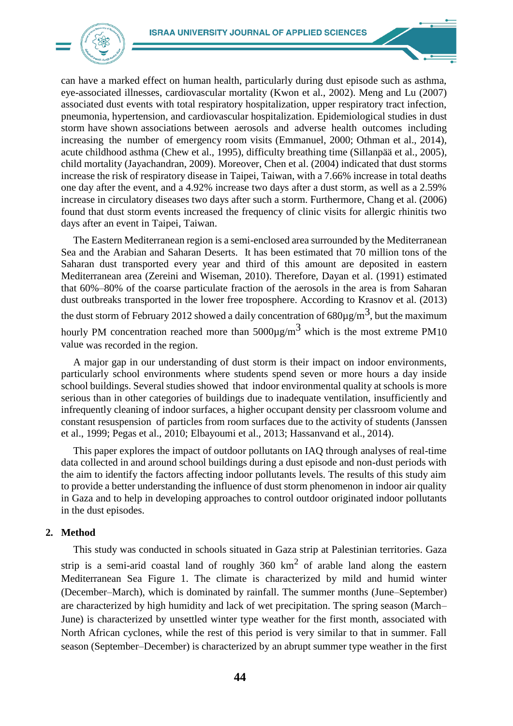

can have a marked effect on human health, particularly during dust episode such as asthma, eye-associated illnesses, cardiovascular mortality [\(Kwon et al., 2002\)](#page-9-3). [Meng and Lu \(2007\)](#page-11-0) associated dust events with total respiratory hospitalization, upper respiratory tract infection, pneumonia, hypertension, and cardiovascular hospitalization. Epidemiological studies in dust storm have shown associations between aerosols and adverse health outcomes including increasing the number of emergency room visits [\(Emmanuel, 2000;](#page-8-0) Othman et al., 2014), acute childhood asthma (Chew et al., 1995), difficulty breathing time (Sillanpää et al., 2005), child mortality [\(Jayachandran, 2009\)](#page-9-4). Moreover, [Chen et al. \(2004\)](#page-8-1) indicated that dust storms increase the risk of respiratory disease in Taipei, Taiwan, with a 7.66% increase in total deaths one day after the event, and a 4.92% increase two days after a dust storm, as well as a 2.59% increase in circulatory diseases two days after such a storm. Furthermore, [Chang et al. \(2006\)](#page-7-0) found that dust storm events increased the frequency of clinic visits for allergic rhinitis two days after an event in Taipei, Taiwan.

The Eastern Mediterranean region is a semi-enclosed area surrounded by the Mediterranean Sea and the Arabian and Saharan Deserts. It has been estimated that 70 million tons of the Saharan dust transported every year and third of this amount are deposited in eastern Mediterranean area (Zereini and Wiseman, 2010). Therefore, [Dayan et al. \(1991\)](#page-8-2) estimated that 60%–80% of the coarse particulate fraction of the aerosols in the area is from Saharan dust outbreaks transported in the lower free troposphere. According to [Krasnov et al. \(2013\)](#page-9-5) the dust storm of February 2012 showed a daily concentration of  $680 \mu\text{g/m}^3$ , but the maximum hourly PM concentration reached more than  $5000\mu\text{g/m}^3$  which is the most extreme PM10 value was recorded in the region.

A major gap in our understanding of dust storm is their impact on indoor environments, particularly school environments where students spend seven or more hours a day inside school buildings. Several studies showed that indoor environmental quality at schools is more serious than in other categories of buildings due to inadequate ventilation, insufficiently and infrequently cleaning of indoor surfaces, a higher occupant density per classroom volume and constant resuspension of particles from room surfaces due to the activity of students [\(Janssen](#page-9-6)  [et al., 1999;](#page-9-6) Pegas et al., 2010; [Elbayoumi et al., 2013;](#page-8-3) [Hassanvand et al.,](#page-9-7) 2014).

This paper explores the impact of outdoor pollutants on IAQ through analyses of real-time data collected in and around school buildings during a dust episode and non-dust periods with the aim to identify the factors affecting indoor pollutants levels. The results of this study aim to provide a better understanding the influence of dust storm phenomenon in indoor air quality in Gaza and to help in developing approaches to control outdoor originated indoor pollutants in the dust episodes.

### **2. Method**

This study was conducted in schools situated in Gaza strip at Palestinian territories. Gaza strip is a semi-arid coastal land of roughly  $360 \text{ km}^2$  of arable land along the eastern Mediterranean Sea Figure 1. The climate is characterized by mild and humid winter (December–March), which is dominated by rainfall. The summer months (June–September) are characterized by high humidity and lack of wet precipitation. The spring season (March– June) is characterized by unsettled winter type weather for the first month, associated with North African cyclones, while the rest of this period is very similar to that in summer. Fall season (September–December) is characterized by an abrupt summer type weather in the first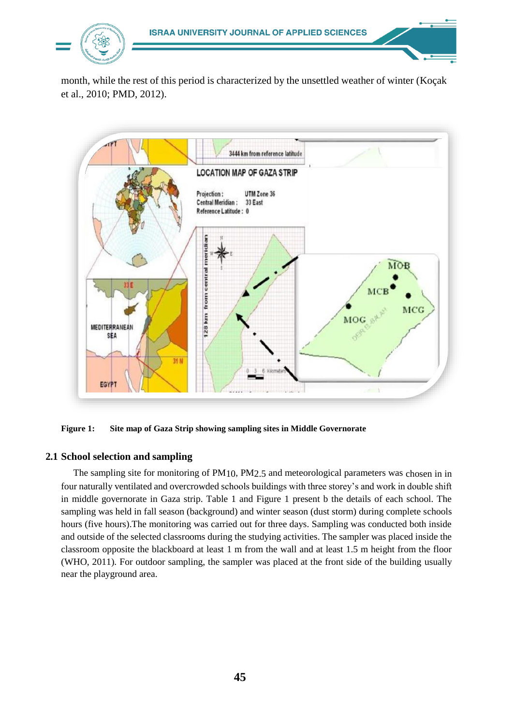

month, while the rest of this period is characterized by the unsettled weather of winter [\(Koçak](#page-9-8)  [et al., 2010;](#page-9-8) PMD, 2012).



**Figure 1: Site map of Gaza Strip showing sampling sites in Middle Governorate**

# **2.1 School selection and sampling**

The sampling site for monitoring of PM10, PM2.5 and meteorological parameters was chosen in in four naturally ventilated and overcrowded schools buildings with three storey's and work in double shift in middle governorate in Gaza strip. Table 1 and Figure 1 present b the details of each school. The sampling was held in fall season (background) and winter season (dust storm) during complete schools hours (five hours).The monitoring was carried out for three days. Sampling was conducted both inside and outside of the selected classrooms during the studying activities. The sampler was placed inside the classroom opposite the blackboard at least 1 m from the wall and at least 1.5 m height from the floor (WHO, 2011). For outdoor sampling, the sampler was placed at the front side of the building usually near the playground area.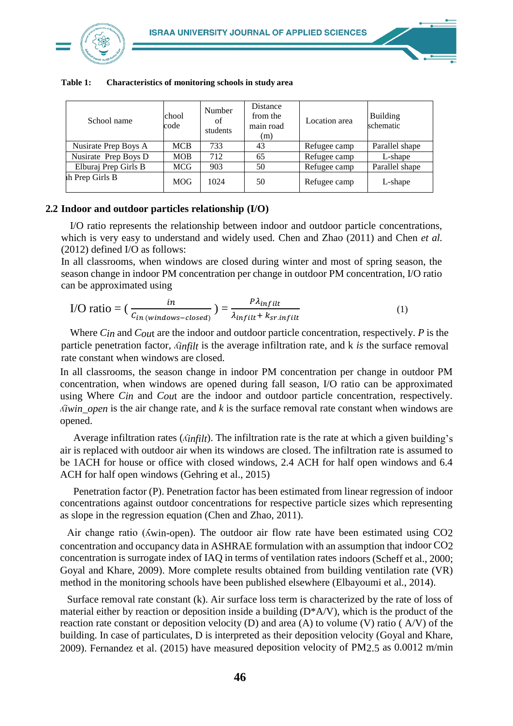

|  | School name          | chool<br>code | Number<br>of<br>students | Distance<br>from the<br>main road<br>(m) | Location area | Building<br>schematic |
|--|----------------------|---------------|--------------------------|------------------------------------------|---------------|-----------------------|
|  | Nusirate Prep Boys A | <b>MCB</b>    | 733                      | 43                                       | Refugee camp  | Parallel shape        |
|  | Nusirate Prep Boys D | <b>MOB</b>    | 712                      | 65                                       | Refugee camp  | L-shape               |
|  | Elburaj Prep Girls B | MCG           | 903                      | 50                                       | Refugee camp  | Parallel shape        |
|  | th Prep Girls B      | <b>MOG</b>    | 1024                     | 50                                       | Refugee camp  | L-shape               |

**Table 1: Characteristics of monitoring schools in study area**

## **2.2 Indoor and outdoor particles relationship (I/O)**

I/O ratio represents the relationship between indoor and outdoor particle concentrations, which is very easy to understand and widely used. [Chen and Zhao](#page-7-1) [\(2011\)](#page-7-1) and [Chen](#page-8-4) *et al.*  [\(2012\)](#page-8-4) defined I/O as follows:

In all classrooms, when windows are closed during winter and most of spring season, the season change in indoor PM concentration per change in outdoor PM concentration, I/O ratio can be approximated using

$$
\text{I/O ratio} = \left(\frac{in}{c_{in\,(windows-closed)}}\right) = \frac{P\lambda_{infilt}}{\lambda_{infilt} + k_{sr.infilt}}\tag{1}
$$

Where *Cin* and *Cou*t are the indoor and outdoor particle concentration, respectively. *P* is the particle penetration factor, *ʎinfilt* is the average infiltration rate, and k *is* the surface removal rate constant when windows are closed.

In all classrooms, the season change in indoor PM concentration per change in outdoor PM concentration, when windows are opened during fall season, I/O ratio can be approximated using Where *Cin* and *Cou*t are the indoor and outdoor particle concentration, respectively. *ʎiwin\_open* is the air change rate, and *k* is the surface removal rate constant when windows are opened.

Average infiltration rates (*ʎinfilt*). The infiltration rate is the rate at which a given building's air is replaced with outdoor air when its windows are closed. The infiltration rate is assumed to be 1ACH for house or office with closed windows, 2.4 ACH for half open windows and 6.4 ACH for half open windows [\(Gehring et al.,](#page-8-5) [2015\)](#page-8-5)

Penetration factor (P). Penetration factor has been estimated from linear regression of indoor concentrations against outdoor concentrations for respective particle sizes which representing as slope in the regression equation [\(Chen and Zhao, 2011\)](#page-7-1).

Air change ratio (ʎwin-open). The outdoor air flow rate have been estimated using CO2 concentration and occupancy data in ASHRAE formulation with an assumption that indoor CO2 concentration is surrogate index of IAQ in terms of ventilation rates indoors (Scheff et al., 2000; [Goyal and Khare, 2009\)](#page-8-6). More complete results obtained from building ventilation rate (VR) method in the monitoring schools have been published elsewhere [\(Elbayoumi et al., 2014\)](#page-8-7).

Surface removal rate constant (k). Air surface loss term is characterized by the rate of loss of material either by reaction or deposition inside a building  $(D^*A/V)$ , which is the product of the reaction rate constant or deposition velocity (D) and area (A) to volume (V) ratio ( $A/V$ ) of the building. In case of particulates, D is interpreted as their deposition velocity [\(Goyal and Khare,](#page-8-6)  [2009\)](#page-8-6). [Fernandez et al. \(2015\)](#page-8-8) have measured deposition velocity of PM2.5 as 0.0012 m/min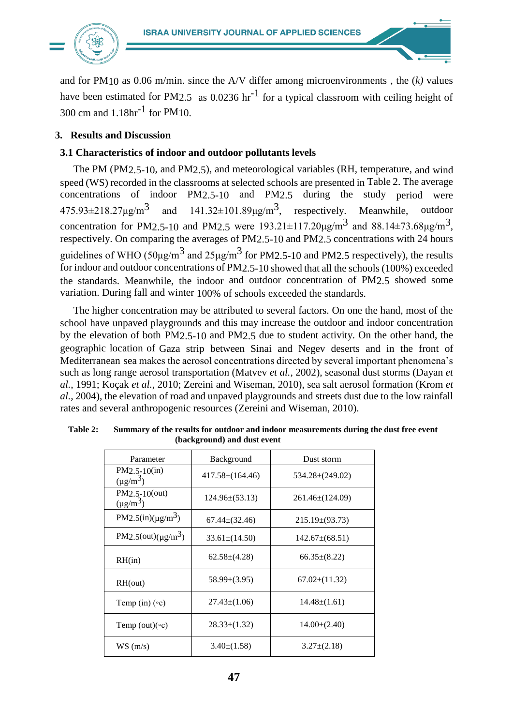

and for PM10 as 0.06 m/min. since the A/V differ among microenvironments , the (*k)* values have been estimated for PM2.5 as 0.0236 hr<sup>-1</sup> for a typical classroom with ceiling height of 300 cm and 1.18hr-1 for PM10.

# **3. Results and Discussion**

# **3.1 Characteristics of indoor and outdoor pollutants levels**

The PM (PM2.5-10, and PM2.5), and meteorological variables (RH, temperature, and wind speed (WS) recorded in the classrooms at selected schools are presented in Table 2. The average concentrations of indoor PM2.5-10 and PM2.5 during the study period were  $475.93 \pm 218.27 \mu g/m^3$  and  $141.32 \pm 101.89 \mu g/m^3$ , respectively. Meanwhile, outdoor concentration for PM2.5-10 and PM2.5 were  $193.21 \pm 117.20 \mu g/m^3$  and  $88.14 \pm 73.68 \mu g/m^3$ , respectively. On comparing the averages of PM2.5-10 and PM2.5 concentrations with 24 hours guidelines of WHO ( $50\mu\text{g/m}^3$  and  $25\mu\text{g/m}^3$  for PM2.5-10 and PM2.5 respectively), the results for indoor and outdoor concentrations of PM2.5-10 showed that all the schools (100%) exceeded the standards. Meanwhile, the indoor and outdoor concentration of PM2.5 showed some variation. During fall and winter 100% of schools exceeded the standards.

The higher concentration may be attributed to several factors. On one the hand, most of the school have unpaved playgrounds and this may increase the outdoor and indoor concentration by the elevation of both PM2.5-10 and PM2.5 due to student activity. On the other hand, the geographic location of Gaza strip between Sinai and Negev deserts and in the front of Mediterranean sea makes the aerosol concentrations directed by several important phenomena's such as long range aerosol transportation [\(Matvev](#page-9-9) *et al.*, 2002), seasonal dust storms [\(Dayan](#page-8-2) *[et](#page-8-2)  al.*[, 1991;](#page-8-2) [Koçak](#page-9-8) *et al.*, 2010; Zereini and Wiseman, 2010), sea salt aerosol formation [\(Krom](#page-9-10) *et al.*[, 2004\)](#page-9-10), the elevation of road and unpaved playgrounds and streets dust due to the low rainfall rates and several anthropogenic resources (Zereini and Wiseman, 2010).

| Parameter                            | Background            | Dust storm            |  |  |
|--------------------------------------|-----------------------|-----------------------|--|--|
| $PM2.5-10(in)$<br>$(\mu g/m^3)$      | $417.58 \pm (164.46)$ | $534.28 \pm (249.02)$ |  |  |
| $PM2.5-10(out)$<br>$(\mu g/m^3)$     | $124.96\pm(53.13)$    | $261.46\pm(124.09)$   |  |  |
| PM2.5(in)( $\mu$ g/m <sup>3</sup> )  | $67.44\pm(32.46)$     | $215.19\pm(93.73)$    |  |  |
| PM2.5(out)( $\mu$ g/m <sup>3</sup> ) | $33.61 \pm (14.50)$   | $142.67\pm(68.51)$    |  |  |
| RH(in)                               | $62.58\pm(4.28)$      | $66.35\pm(8.22)$      |  |  |
| RH(out)                              | $58.99\pm(3.95)$      | $67.02 \pm (11.32)$   |  |  |
| Temp (in) $(\circ c)$                | $27.43\pm(1.06)$      | $14.48\pm(1.61)$      |  |  |
| Temp (out) $(\circ c)$               | $28.33\pm(1.32)$      | $14.00\pm(2.40)$      |  |  |
| WS(m/s)                              | $3.40\pm(1.58)$       | $3.27 \pm (2.18)$     |  |  |

| <b>Table 2:</b> | Summary of the results for outdoor and indoor measurements during the dust free event |
|-----------------|---------------------------------------------------------------------------------------|
|                 | (background) and dust event                                                           |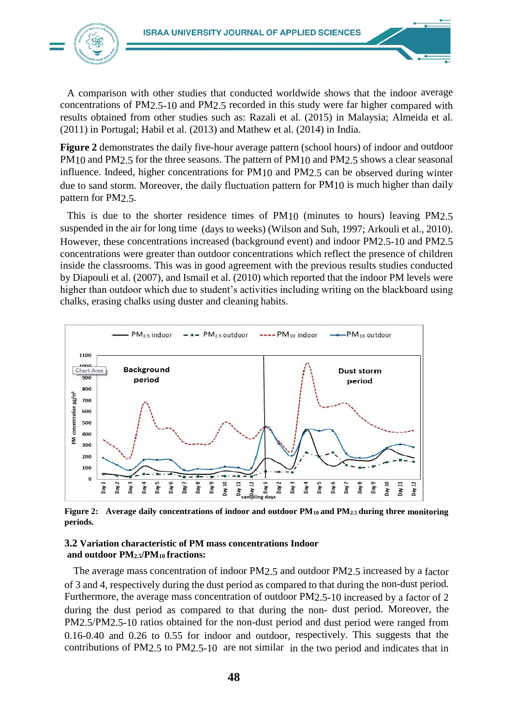

A comparison with other studies that conducted worldwide shows that the indoor average concentrations of PM2.5-10 and PM2.5 recorded in this study were far higher compared with results obtained from other studies such as: Razali et al. (2015) in Malaysia; [Almeida et al.](#page-7-2)  [\(2011\)](#page-7-2) in Portugal; [Habil et al. \(2013\)](#page-8-9) and [Mathew et al.](#page-9-11) [\(2014\)](#page-9-11) in India.

**Figure 2** demonstrates the daily five-hour average pattern (school hours) of indoor and outdoor PM10 and PM2.5 for the three seasons. The pattern of PM10 and PM2.5 shows a clear seasonal influence. Indeed, higher concentrations for PM10 and PM2.5 can be observed during winter due to sand storm. Moreover, the daily fluctuation pattern for PM10 is much higher than daily pattern for PM2.5.

This is due to the shorter residence times of PM10 (minutes to hours) leaving PM2.5 suspended in the air for long time (days to weeks) (Wilson and Suh, 1997[; Arkouli et al., 2010\)](#page-7-3). However, these concentrations increased (background event) and indoor PM2.5-10 and PM2.5 concentrations were greater than outdoor concentrations which reflect the presence of children inside the classrooms. This was in good agreement with the previous results studies conducted by [Diapouli et al. \(2007\)](#page-8-10), and [Ismail et al. \(2010\)](#page-9-12) which reported that the indoor PM levels were higher than outdoor which due to student's activities including writing on the blackboard using chalks, erasing chalks using duster and cleaning habits.



**Figure 2: Average daily concentrations of indoor and outdoor PM10 and PM2.5 during three monitoring periods.**

### **3.2 Variation characteristic of PM mass concentrations Indoor and outdoor PM2.5/PM<sup>10</sup> fractions:**

The average mass concentration of indoor PM2.5 and outdoor PM2.5 increased by a factor of 3 and 4, respectively during the dust period as compared to that during the non-dust period. Furthermore, the average mass concentration of outdoor PM2.5-10 increased by a factor of 2 during the dust period as compared to that during the non- dust period. Moreover, the PM2.5/PM2.5-10 ratios obtained for the non-dust period and dust period were ranged from 0.16-0.40 and 0.26 to 0.55 for indoor and outdoor, respectively. This suggests that the contributions of PM2.5 to PM2.5-10 are not similar in the two period and indicates that in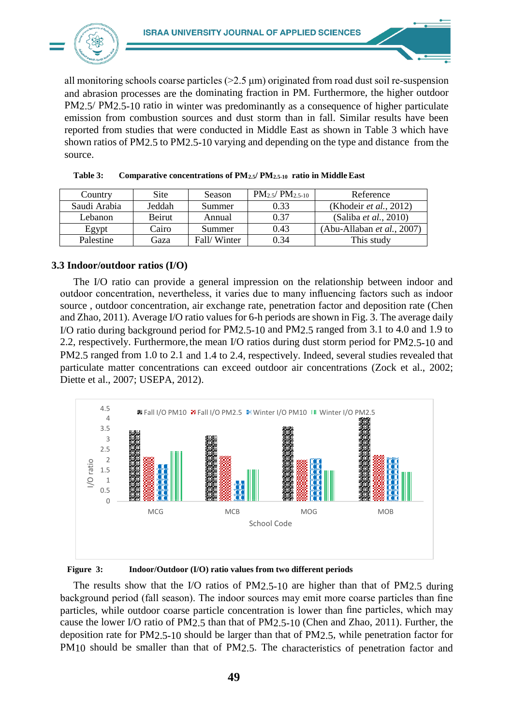

all monitoring schools coarse particles  $(>2.5 \mu m)$  originated from road dust soil re-suspension and abrasion processes are the dominating fraction in PM. Furthermore, the higher outdoor PM2.5/ PM2.5-10 ratio in winter was predominantly as a consequence of higher particulate emission from combustion sources and dust storm than in fall. Similar results have been reported from studies that were conducted in Middle East as shown in Table 3 which have shown ratios of PM2.5 to PM2.5-10 varying and depending on the type and distance from the source.

| Country      | Site          | Season      | $PM_{2.5}$ / $PM_{2.5-10}$ | Reference                     |
|--------------|---------------|-------------|----------------------------|-------------------------------|
| Saudi Arabia | Jeddah        | Summer      | 0.33                       | (Khodeir et al., 2012)        |
| Lebanon      | <b>Beirut</b> | Annual      | 0.37                       | (Saliba <i>et al.</i> , 2010) |
| Egypt        | Cairo         | Summer      | 0.43                       | (Abu-Allaban et al., 2007)    |
| Palestine    | Gaza          | Fall/Winter | 0.34                       | This study                    |

| Table 3: | Comparative concentrations of PM2.5/ PM2.5-10 ratio in Middle East |  |  |
|----------|--------------------------------------------------------------------|--|--|
|          |                                                                    |  |  |

## **3.3 Indoor/outdoor ratios (I/O)**

The I/O ratio can provide a general impression on the relationship between indoor and outdoor concentration, nevertheless, it varies due to many influencing factors such as indoor source , outdoor concentration, air exchange rate, penetration factor and deposition rate [\(Chen](#page-7-1)  [and Zhao, 2011\)](#page-7-1). Average I/O ratio values for 6-h periods are shown in Fig. 3. The average daily I/O ratio during background period for PM2.5-10 and PM2.5 ranged from 3.1 to 4.0 and 1.9 to 2.2, respectively. Furthermore,the mean I/O ratios during dust storm period for PM2.5-10 and PM2.5 ranged from 1.0 to 2.1 and 1.4 to 2.4, respectively. Indeed, several studies revealed that particulate matter concentrations can exceed outdoor air concentrations (Zock et al., 2002; [Diette et al.,](#page-8-11) [2007;](#page-8-11) USEPA, 2012).



#### **Figure 3: Indoor/Outdoor (I/O) ratio values from two different periods**

The results show that the I/O ratios of PM2.5-10 are higher than that of PM2.5 during background period (fall season). The indoor sources may emit more coarse particles than fine particles, while outdoor coarse particle concentration is lower than fine particles, which may cause the lower I/O ratio of PM2.5 than that of PM2.5-10 [\(Chen](#page-7-1) [and Zhao, 2011\)](#page-7-1). Further, the deposition rate for PM2.5-10 should be larger than that of PM2.5, while penetration factor for PM10 should be smaller than that of PM2.5. The characteristics of penetration factor and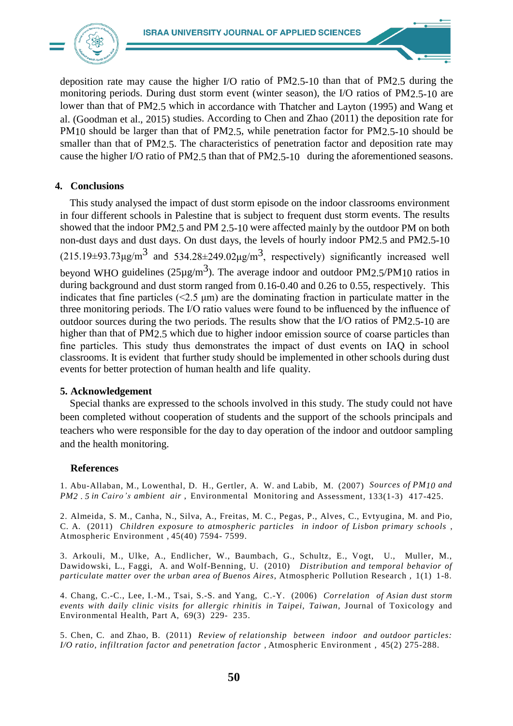

deposition rate may cause the higher I/O ratio of PM2.5-10 than that of PM2.5 during the monitoring periods. During dust storm event (winter season), the I/O ratios of PM2.5-10 are lower than that of PM2.5 which in accordance with Thatcher and Layton (1995) and Wang et al. [\(Goodman et al., 2015\)](#page-8-12) studies. According to [Chen and Zhao \(2011\)](#page-7-1) the deposition rate for PM10 should be larger than that of PM2.5, while penetration factor for PM2.5-10 should be smaller than that of PM2.5. The characteristics of penetration factor and deposition rate may cause the higher I/O ratio of PM2.5 than that of PM2.5-10 during the aforementioned seasons.

## **4. Conclusions**

This study analysed the impact of dust storm episode on the indoor classrooms environment in four different schools in Palestine that is subject to frequent dust storm events. The results showed that the indoor PM2.5 and PM 2.5-10 were affected mainly by the outdoor PM on both non-dust days and dust days. On dust days, the levels of hourly indoor PM2.5 and PM2.5-10  $(215.19\pm 93.73 \mu\text{g/m}^3$  and  $534.28\pm 249.02 \mu\text{g/m}^3$ , respectively) significantly increased well beyond WHO guidelines ( $25\mu\text{g/m}^3$ ). The average indoor and outdoor PM2.5/PM10 ratios in during background and dust storm ranged from 0.16-0.40 and 0.26 to 0.55, respectively. This indicates that fine particles  $(\leq 2.5 \text{ µm})$  are the dominating fraction in particulate matter in the three monitoring periods. The I/O ratio values were found to be influenced by the influence of outdoor sources during the two periods. The results show that the I/O ratios of PM2.5-10 are higher than that of PM2.5 which due to higher indoor emission source of coarse particles than fine particles. This study thus demonstrates the impact of dust events on IAQ in school classrooms. It is evident that further study should be implemented in other schools during dust events for better protection of human health and life quality.

## **5. Acknowledgement**

Special thanks are expressed to the schools involved in this study. The study could not have been completed without cooperation of students and the support of the schools principals and teachers who were responsible for the day to day operation of the indoor and outdoor sampling and the health monitoring.

## **References**

<span id="page-7-4"></span>1. Abu-Allaban, M., Lowenthal, D. H., Gertler, A. W. and Labib, M. (2007) *Sources of PM10 and PM2 . 5 in Cairo's ambient air* , Environmental Monitoring and Assessment*,* 133(1-3) 417-425.

<span id="page-7-2"></span>2. Almeida, S. M., Canha, N., Silva, A., Freitas, M. C., Pegas, P., Alves, C., Evtyugina, M. and Pio, C. A. (2011) *Children exposure to atmospheric particles in indoor of Lisbon primary schools* , Atmospheric Environment *,* 45(40) 7594- 7599.

<span id="page-7-3"></span>3. Arkouli, M., Ulke, A., Endlicher, W., Baumbach, G., Schultz, E., Vogt, U., Muller, M., Dawidowski, L., Faggi, A. and Wolf-Benning, U. (2010) *Distribution and temporal behavior of particulate matter over the urban area of Buenos Aires*, Atmospheric Pollution Research *,* 1(1) 1-8.

<span id="page-7-0"></span>4. Chang, C.-C., Lee, I.-M., Tsai, S.-S. and Yang, C.-Y. (2006) *Correlation of Asian dust storm events with daily clinic visits for allergic rhinitis in Taipei, Taiwan,* Journal of Toxicology and Environmental Health, Part A, 69(3) 229- 235.

<span id="page-7-1"></span>5. Chen, C. and Zhao, B. (2011) *Review of relationship between indoor and outdoor particles: I/O ratio, infiltration factor and penetration factor ,* Atmospheric Environment *,* 45(2) 275-288.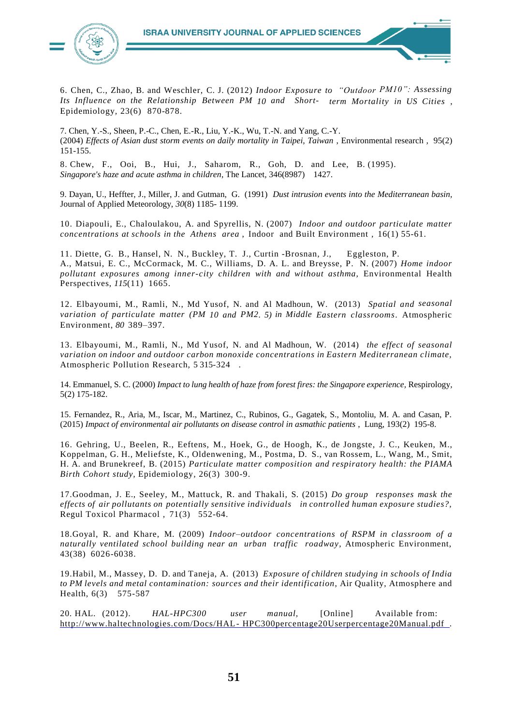

<span id="page-8-4"></span>6. Chen, C., Zhao, B. and Weschler, C. J. (2012) *Indoor Exposure to "Outdoor PM10": Assessing Its Influence on the Relationship Between PM 10 and Short- term Mortality in US Cities* , Epidemiology*,* 23(6) 870-878.

<span id="page-8-1"></span>7. Chen, Y.-S., Sheen, P.-C., Chen, E.-R., Liu, Y.-K., Wu, T.-N. and Yang, C.-Y. (2004) *Effects of Asian dust storm events on daily mortality in Taipei, Taiwan* , Environmental research *,* 95(2) 151-155.

8. Chew, F., Ooi, B., Hui, J., Saharom, R., Goh, D. and Lee, B. (1995). *Singapore's haze and acute asthma in children*, The Lancet*,* 346(8987) 1427.

<span id="page-8-2"></span>9. Dayan, U., Heffter, J., Miller, J. and Gutman, G. (1991) *Dust intrusion events into the Mediterranean basin,* Journal of Applied Meteorology, *30*(8) 1185- 1199.

<span id="page-8-10"></span>10. Diapouli, E., Chaloulakou, A. and Spyrellis, N. (2007) *Indoor and outdoor particulate matter concentrations at schools in the Athens area* , Indoor and Built Environment *,* 16(1) 55-61.

<span id="page-8-11"></span>11. Diette, G. B., Hansel, N. N., Buckley, T. J., Curtin -Brosnan, J., Eggleston, P. A., Matsui, E. C., McCormack, M. C., Williams, D. A. L. and Breysse, P. N. (2007) *Home indoor pollutant exposures among inner-city children with and without asthma,* Environmental Health Perspectives, *115*(11) 1665.

<span id="page-8-3"></span>12. Elbayoumi, M., Ramli, N., Md Yusof, N. and Al Madhoun, W. (2013) *Spatial and seasonal variation of particulate matter (PM 10 and PM2. 5) in Middle Eastern classrooms*. Atmospheric Environment, *80* 389–397.

<span id="page-8-7"></span>13. Elbayoumi, M., Ramli, N., Md Yusof, N. and Al Madhoun, W. (2014) *the effect of seasonal variation on indoor and outdoor carbon monoxide concentrations in Eastern Mediterranean climate,*  Atmospheric Pollution Research, 5 315-324 .

<span id="page-8-0"></span>14. Emmanuel, S. C. (2000) *Impact to lung health of haze from forest fires: the Singapore experience,* Respirology*,*  5(2) 175-182.

<span id="page-8-8"></span>15. Fernandez, R., Aria, M., Iscar, M., Martinez, C., Rubinos, G., Gagatek, S., Montoliu, M. A. and Casan, P. (2015) *Impact of environmental air pollutants on disease control in asmathic patients* , Lung*,* 193(2) 195-8.

<span id="page-8-5"></span>16. Gehring, U., Beelen, R., Eeftens, M., Hoek, G., de Hoogh, K., de Jongste, J. C., Keuken, M., Koppelman, G. H., Meliefste, K., Oldenwening, M., Postma, D. S., van Rossem, L., Wang, M., Smit, H. A. and Brunekreef, B. (2015) *Particulate matter composition and respiratory health: the PIAMA Birth Cohort study,* Epidemiology*,* 26(3) 300-9.

<span id="page-8-12"></span>17.Goodman, J. E., Seeley, M., Mattuck, R. and Thakali, S. (2015) *Do group responses mask the effects of air pollutants on potentially sensitive individuals in controlled human exposure studies?,*  Regul Toxicol Pharmacol *,* 71(3) 552-64.

<span id="page-8-6"></span>18.Goyal, R. and Khare, M. (2009) *Indoor–outdoor concentrations of RSPM in classroom of a naturally ventilated school building near an urban traffic roadway*, Atmospheric Environment, 43(38) 6026-6038.

<span id="page-8-9"></span>19.Habil, M., Massey, D. D. and Taneja, A. (2013) *Exposure of children studying in schools of India to PM levels and metal contamination: sources and their identification*, Air Quality, Atmosphere and Health, 6(3) 575-587

20. HAL. (2012). *HAL-HPC300 user manual,* [Online] Available from: http://www.haltechnologies.com/Docs/HAL-HPC300percentage20Userpercentage20Manual.pdf.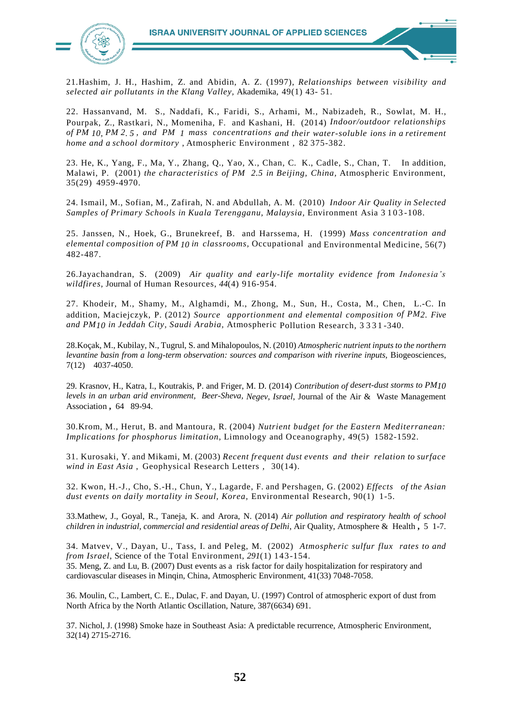

<span id="page-9-2"></span>21.Hashim, J. H., Hashim, Z. and Abidin, A. Z. (1997), *Relationships between visibility and selected air pollutants in the Klang Valley,* Akademika*,* 49(1) 43- 51.

<span id="page-9-7"></span>22. Hassanvand, M. S., Naddafi, K., Faridi, S., Arhami, M., Nabizadeh, R., Sowlat, M. H., Pourpak, Z., Rastkari, N., Momeniha, F. and Kashani, H. (2014) *Indoor/outdoor relationships of PM 10, PM 2. 5 , and PM 1 mass concentrations and their water-soluble ions in a retirement home and a school dormitory* , Atmospheric Environment *,* 82 375-382.

<span id="page-9-1"></span>23. He, K., Yang, F., Ma, Y., Zhang, Q., Yao, X., Chan, C. K., Cadle, S., Chan, T. In addition, Malawi, P. (2001) *the characteristics of PM 2.5 in Beijing, China,* Atmospheric Environment, 35(29) 4959-4970.

<span id="page-9-12"></span>24. Ismail, M., Sofian, M., Zafirah, N. and Abdullah, A. M. (2010) *Indoor Air Quality in Selected Samples of Primary Schools in Kuala Terengganu, Malaysia,* Environment Asia 3 103 -108.

<span id="page-9-6"></span>25. Janssen, N., Hoek, G., Brunekreef, B. and Harssema, H. (1999) *Mass concentration and elemental composition of PM 10 in classrooms,* Occupational and Environmental Medicine, 56(7) 482-487.

<span id="page-9-4"></span>26.Jayachandran, S. (2009) *Air quality and early-life mortality evidence from Indonesia's wildfires,* Journal of Human Resources, *44*(4) 916-954.

<span id="page-9-13"></span>27. Khodeir, M., Shamy, M., Alghamdi, M., Zhong, M., Sun, H., Costa, M., Chen, L.-C. In addition, Maciejczyk, P. (2012) *Source apportionment and elemental composition of PM2. Five and PM10 in Jeddah City, Saudi Arabia,* Atmospheric Pollution Research*,* 3 3 3 1 -340.

<span id="page-9-8"></span>28.Koçak, M., Kubilay, N., Tugrul, S. and Mihalopoulos, N. (2010) *Atmospheric nutrient inputs to the northern levantine basin from a long-term observation: sources and comparison with riverine inputs, Biogeosciences,* 7(12) 4037-4050.

<span id="page-9-5"></span>29. Krasnov, H., Katra, I., Koutrakis, P. and Friger, M. D. (2014) *Contribution of desert-dust storms to PM10 levels in an urban arid environment, Beer-Sheva, Negev, Israel*, Journal of the Air & Waste Management Association **,** 64 89-94.

<span id="page-9-10"></span>30.Krom, M., Herut, B. and Mantoura, R. (2004) *Nutrient budget for the Eastern Mediterranean: Implications for phosphorus limitation,* Limnology and Oceanography*,* 49(5) 1582-1592.

<span id="page-9-0"></span>31. Kurosaki, Y. and Mikami, M. (2003) *Recent frequent dust events and their relation to surface wind in East Asia* , Geophysical Research Letters *,* 30(14).

<span id="page-9-3"></span>32. Kwon, H.-J., Cho, S.-H., Chun, Y., Lagarde, F. and Pershagen, G. (2002) *Effects of the Asian dust events on daily mortality in Seoul, Korea,* Environmental Research*,* 90(1) 1-5.

<span id="page-9-11"></span>33.Mathew, J., Goyal, R., Taneja, K. and Arora, N. (2014) *Air pollution and respiratory health of school children in industrial, commercial and residential areas of Delhi*, Air Quality, Atmosphere & Health **,** 5 1-7.

<span id="page-9-9"></span>34. Matvev, V., Dayan, U., Tass, I. and Peleg, M. (2002) *Atmospheric sulfur flux rates to and from Israel,* Science of the Total Environment, *291*(1) 143-154.

35. Meng, Z. and Lu, B. (2007) Dust events as a risk factor for daily hospitalization for respiratory and cardiovascular diseases in Minqin, China, Atmospheric Environment, 41(33) 7048-7058.

36. Moulin, C., Lambert, C. E., Dulac, F. and Dayan, U. (1997) Control of atmospheric export of dust from North Africa by the North Atlantic Oscillation, Nature, 387(6634) 691.

37. Nichol, J. (1998) Smoke haze in Southeast Asia: A predictable recurrence, Atmospheric Environment, 32(14) 2715-2716.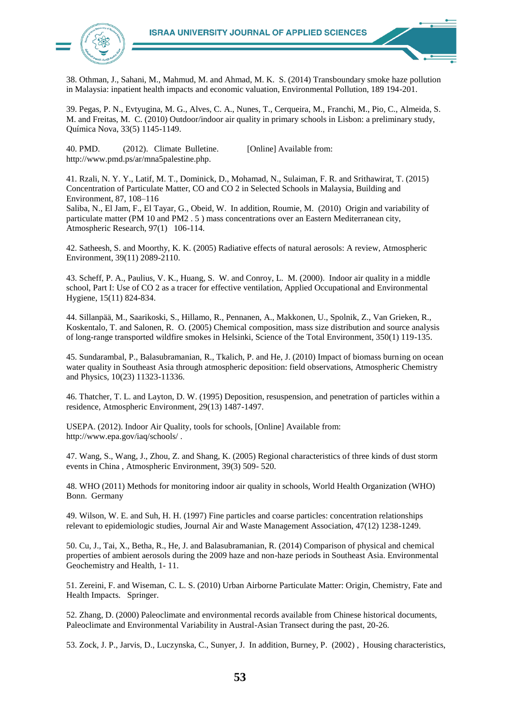

38. Othman, J., Sahani, M., Mahmud, M. and Ahmad, M. K. S. (2014) Transboundary smoke haze pollution in Malaysia: inpatient health impacts and economic valuation, Environmental Pollution, 189 194-201.

39. Pegas, P. N., Evtyugina, M. G., Alves, C. A., Nunes, T., Cerqueira, M., Franchi, M., Pio, C., Almeida, S. M. and Freitas, M. C. (2010) Outdoor/indoor air quality in primary schools in Lisbon: a preliminary study, Química Nova, 33(5) 1145-1149.

40. PMD. (2012). Climate Bulletine. [Online] Available from: http://www.pmd.ps/ar/mna5palestine.php.

41. Rzali, N. Y. Y., Latif, M. T., Dominick, D., Mohamad, N., Sulaiman, F. R. and Srithawirat, T. (2015) Concentration of Particulate Matter, CO and CO 2 in Selected Schools in Malaysia, Building and Environment, 87, 108–116

Saliba, N., El Jam, F., El Tayar, G., Obeid, W. In addition, Roumie, M. (2010) Origin and variability of particulate matter (PM 10 and PM2 . 5 ) mass concentrations over an Eastern Mediterranean city, Atmospheric Research, 97(1) 106-114.

42. Satheesh, S. and Moorthy, K. K. (2005) Radiative effects of natural aerosols: A review, Atmospheric Environment, 39(11) 2089-2110.

43. Scheff, P. A., Paulius, V. K., Huang, S. W. and Conroy, L. M. (2000). Indoor air quality in a middle school, Part I: Use of CO 2 as a tracer for effective ventilation, Applied Occupational and Environmental Hygiene, 15(11) 824-834.

44. Sillanpää, M., Saarikoski, S., Hillamo, R., Pennanen, A., Makkonen, U., Spolnik, Z., Van Grieken, R., Koskentalo, T. and Salonen, R. O. (2005) Chemical composition, mass size distribution and source analysis of long-range transported wildfire smokes in Helsinki, Science of the Total Environment, 350(1) 119-135.

45. Sundarambal, P., Balasubramanian, R., Tkalich, P. and He, J. (2010) Impact of biomass burning on ocean water quality in Southeast Asia through atmospheric deposition: field observations, Atmospheric Chemistry and Physics, 10(23) 11323-11336.

46. Thatcher, T. L. and Layton, D. W. (1995) Deposition, resuspension, and penetration of particles within a residence, Atmospheric Environment, 29(13) 1487-1497.

USEPA. (2012). Indoor Air Quality, tools for schools, [Online] Available from: http://www.epa.gov/iaq/schools/ .

47. Wang, S., Wang, J., Zhou, Z. and Shang, K. (2005) Regional characteristics of three kinds of dust storm events in China , Atmospheric Environment, 39(3) 509- 520.

48. WHO (2011) Methods for monitoring indoor air quality in schools, World Health Organization (WHO) Bonn. Germany

49. Wilson, W. E. and Suh, H. H. (1997) Fine particles and coarse particles: concentration relationships relevant to epidemiologic studies, Journal Air and Waste Management Association, 47(12) 1238-1249.

50. Cu, J., Tai, X., Betha, R., He, J. and Balasubramanian, R. (2014) Comparison of physical and chemical properties of ambient aerosols during the 2009 haze and non-haze periods in Southeast Asia. Environmental Geochemistry and Health, 1- 11.

51. Zereini, F. and Wiseman, C. L. S. (2010) Urban Airborne Particulate Matter: Origin, Chemistry, Fate and Health Impacts. Springer.

52. Zhang, D. (2000) Paleoclimate and environmental records available from Chinese historical documents, Paleoclimate and Environmental Variability in Austral-Asian Transect during the past, 20-26.

53. Zock, J. P., Jarvis, D., Luczynska, C., Sunyer, J. In addition, Burney, P. (2002) , Housing characteristics,